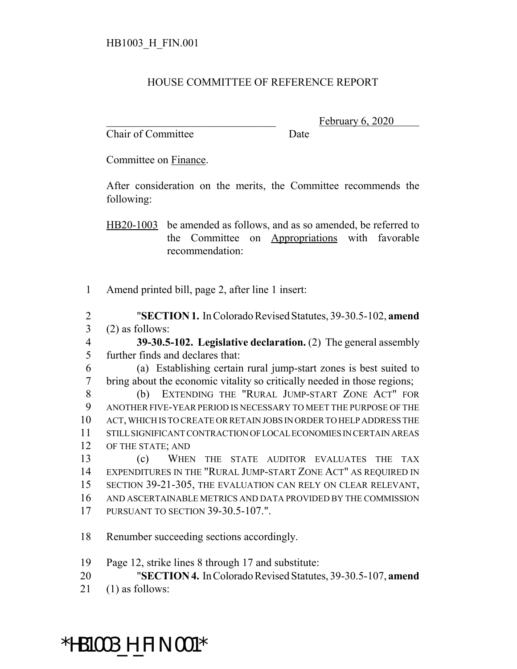## HOUSE COMMITTEE OF REFERENCE REPORT

Chair of Committee Date

February 6, 2020

Committee on Finance.

After consideration on the merits, the Committee recommends the following:

HB20-1003 be amended as follows, and as so amended, be referred to the Committee on Appropriations with favorable recommendation:

Amend printed bill, page 2, after line 1 insert:

 "**SECTION 1.** In Colorado Revised Statutes, 39-30.5-102, **amend** (2) as follows:

- **39-30.5-102. Legislative declaration.** (2) The general assembly further finds and declares that:
- (a) Establishing certain rural jump-start zones is best suited to bring about the economic vitality so critically needed in those regions;

 (b) EXTENDING THE "RURAL JUMP-START ZONE ACT" FOR ANOTHER FIVE-YEAR PERIOD IS NECESSARY TO MEET THE PURPOSE OF THE ACT, WHICH IS TO CREATE OR RETAIN JOBS IN ORDER TO HELP ADDRESS THE STILL SIGNIFICANT CONTRACTION OF LOCAL ECONOMIES IN CERTAIN AREAS OF THE STATE; AND

 (c) WHEN THE STATE AUDITOR EVALUATES THE TAX EXPENDITURES IN THE "RURAL JUMP-START ZONE ACT" AS REQUIRED IN SECTION 39-21-305, THE EVALUATION CAN RELY ON CLEAR RELEVANT, AND ASCERTAINABLE METRICS AND DATA PROVIDED BY THE COMMISSION PURSUANT TO SECTION 39-30.5-107.".

- Renumber succeeding sections accordingly.
- Page 12, strike lines 8 through 17 and substitute:
- "**SECTION 4.** In Colorado Revised Statutes, 39-30.5-107, **amend**
- (1) as follows:

## \*HB1003\_H\_FIN.001\*